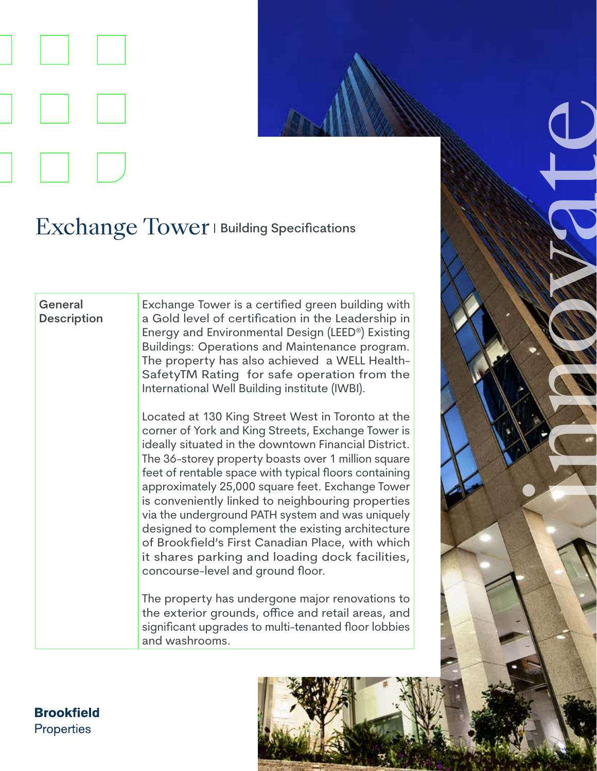

## Exchange Tower | Building Specifications

## **General Description**

Exchange Tower is a certified green building with a Gold level of certification in the Leadership in Energy and Environmental Design (LEED®) Existing Buildings: Operations and Maintenance program. The property has also achieved a WELL Health-SafetyTM Rating for safe operation from the International Well Building institute (IWBI).

Located at 130 King Street West in Toronto at the corner of York and King Streets, Exchange Tower is ideally situated in the downtown Financial District. The 36-storey property boasts over 1 million square feet of rentable space with typical floors containing approximately 25,000 square feet. Exchange Tower is conveniently linked to neighbouring properties via the underground PATH system and was uniquely designed to complement the existing architecture of Brookfield's First Canadian Place, with which it shares parking and loading dock facilities, concourse-level and ground floor.

The property has undergone major renovations to the exterior grounds, office and retail areas, and significant upgrades to multi-tenanted floor lobbies and washrooms.



**Brookfield Properties**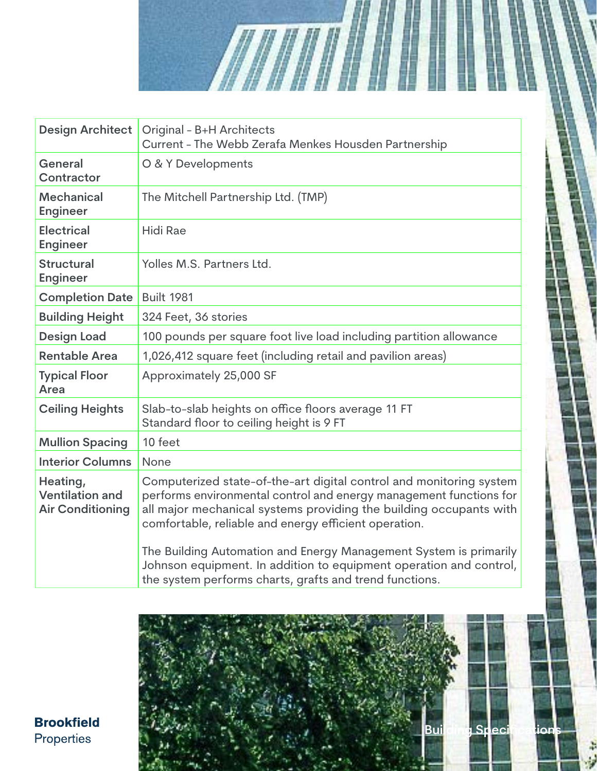

WININ

The Building Automation and Energy Management System is primarily Johnson equipment. In addition to equipment operation and control, the system performs charts, grafts and trend functions.



**Brookfield** Properties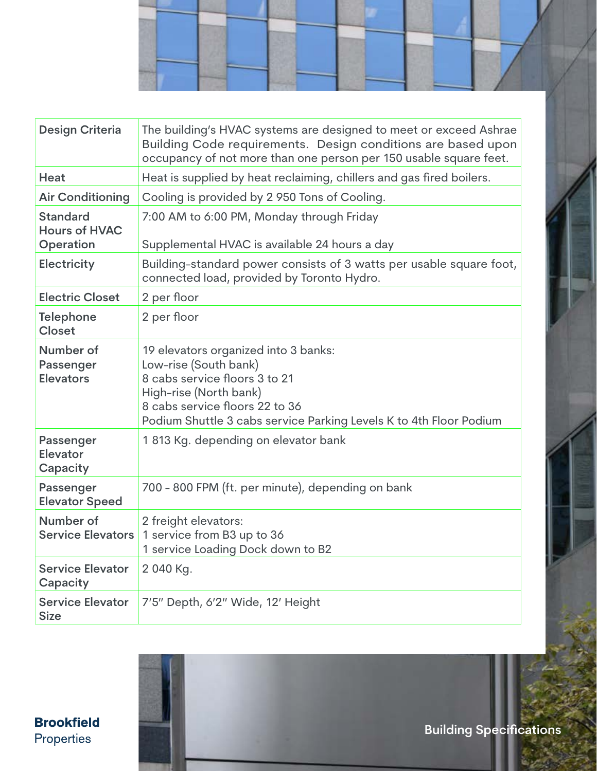

| <b>Design Criteria</b>                     | The building's HVAC systems are designed to meet or exceed Ashrae<br>Building Code requirements. Design conditions are based upon<br>occupancy of not more than one person per 150 usable square feet.                           |
|--------------------------------------------|----------------------------------------------------------------------------------------------------------------------------------------------------------------------------------------------------------------------------------|
| Heat                                       | Heat is supplied by heat reclaiming, chillers and gas fired boilers.                                                                                                                                                             |
| <b>Air Conditioning</b>                    | Cooling is provided by 2950 Tons of Cooling.                                                                                                                                                                                     |
| <b>Standard</b><br><b>Hours of HVAC</b>    | 7:00 AM to 6:00 PM, Monday through Friday                                                                                                                                                                                        |
| Operation                                  | Supplemental HVAC is available 24 hours a day                                                                                                                                                                                    |
| <b>Electricity</b>                         | Building-standard power consists of 3 watts per usable square foot,<br>connected load, provided by Toronto Hydro.                                                                                                                |
| <b>Electric Closet</b>                     | 2 per floor                                                                                                                                                                                                                      |
| <b>Telephone</b><br><b>Closet</b>          | 2 per floor                                                                                                                                                                                                                      |
| Number of<br>Passenger<br><b>Elevators</b> | 19 elevators organized into 3 banks:<br>Low-rise (South bank)<br>8 cabs service floors 3 to 21<br>High-rise (North bank)<br>8 cabs service floors 22 to 36<br>Podium Shuttle 3 cabs service Parking Levels K to 4th Floor Podium |
| Passenger<br>Elevator<br>Capacity          | 1813 Kg. depending on elevator bank                                                                                                                                                                                              |
| <b>Passenger</b><br><b>Elevator Speed</b>  | 700 - 800 FPM (ft. per minute), depending on bank                                                                                                                                                                                |
| Number of<br><b>Service Elevators</b>      | 2 freight elevators:<br>1 service from B3 up to 36<br>1 service Loading Dock down to B2                                                                                                                                          |
| <b>Service Elevator</b><br>Capacity        | 2 040 Kg.                                                                                                                                                                                                                        |
| <b>Service Elevator</b><br><b>Size</b>     | 7'5" Depth, 6'2" Wide, 12' Height                                                                                                                                                                                                |

**Brookfield** Properties